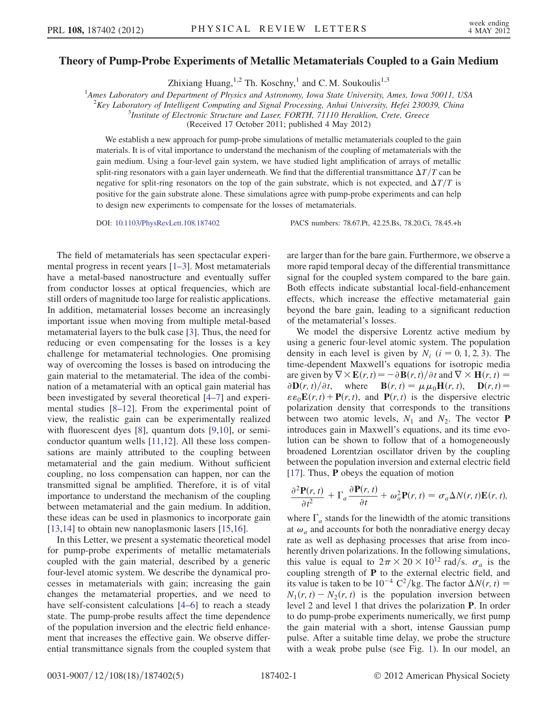## Theory of Pump-Probe Experiments of Metallic Metamaterials Coupled to a Gain Medium

Zhixiang Huang,  $^{1,2}$  Th. Koschny,  $^{1}$  and C.M. Soukoulis<sup>1,3</sup>

<sup>1</sup>Ames Laboratory and Department of Physics and Astronomy, Iowa State University, Ames, Iowa 50011, USA

<sup>2</sup>Key Laboratory of Intelligent Computing and Signal Processing, Anhui University, Hefei 230039, China

<sup>3</sup>Institute of Electronic Structure and Laser, FORTH, 71110 Heraklion, Crete, Greece

(Received 17 October 2011; published 4 May 2012)

We establish a new approach for pump-probe simulations of metallic metamaterials coupled to the gain materials. It is of vital importance to understand the mechanism of the coupling of metamaterials with the gain medium. Using a four-level gain system, we have studied light amplification of arrays of metallic split-ring resonators with a gain layer underneath. We find that the differential transmittance  $\Delta T/T$  can be negative for split-ring resonators on the top of the gain substrate, which is not expected, and  $\Delta T/T$  is positive for the gain substrate alone. These simulations agree with pump-probe experiments and can help to design new experiments to compensate for the losses of metamaterials.

DOI: [10.1103/PhysRevLett.108.187402](http://dx.doi.org/10.1103/PhysRevLett.108.187402) PACS numbers: 78.67.Pt, 42.25.Bs, 78.20.Ci, 78.45.+h

The field of metamaterials has seen spectacular experimental progress in recent years [\[1–](#page-3-0)[3\]](#page-3-1). Most metamaterials have a metal-based nanostructure and eventually suffer from conductor losses at optical frequencies, which are still orders of magnitude too large for realistic applications. In addition, metamaterial losses become an increasingly important issue when moving from multiple metal-based metamaterial layers to the bulk case [[3\]](#page-3-1). Thus, the need for reducing or even compensating for the losses is a key challenge for metamaterial technologies. One promising way of overcoming the losses is based on introducing the gain material to the metamaterial. The idea of the combination of a metamaterial with an optical gain material has been investigated by several theoretical [\[4–](#page-4-0)[7](#page-4-1)] and experimental studies [[8–](#page-4-2)[12](#page-4-3)]. From the experimental point of view, the realistic gain can be experimentally realized with fluorescent dyes [\[8\]](#page-4-2), quantum dots [\[9](#page-4-4)[,10\]](#page-4-5), or semiconductor quantum wells [\[11,](#page-4-6)[12\]](#page-4-3). All these loss compensations are mainly attributed to the coupling between metamaterial and the gain medium. Without sufficient coupling, no loss compensation can happen, nor can the transmitted signal be amplified. Therefore, it is of vital importance to understand the mechanism of the coupling between metamaterial and the gain medium. In addition, these ideas can be used in plasmonics to incorporate gain [\[13](#page-4-7)[,14\]](#page-4-8) to obtain new nanoplasmonic lasers [\[15](#page-4-9)[,16\]](#page-4-10).

In this Letter, we present a systematic theoretical model for pump-probe experiments of metallic metamaterials coupled with the gain material, described by a generic four-level atomic system. We describe the dynamical processes in metamaterials with gain; increasing the gain changes the metamaterial properties, and we need to have self-consistent calculations [\[4–](#page-4-0)[6](#page-4-11)] to reach a steady state. The pump-probe results affect the time dependence of the population inversion and the electric field enhancement that increases the effective gain. We observe differential transmittance signals from the coupled system that are larger than for the bare gain. Furthermore, we observe a more rapid temporal decay of the differential transmittance signal for the coupled system compared to the bare gain. Both effects indicate substantial local-field-enhancement effects, which increase the effective metamaterial gain beyond the bare gain, leading to a significant reduction of the metamaterial's losses.

We model the dispersive Lorentz active medium by using a generic four-level atomic system. The population density in each level is given by  $N_i$  ( $i = 0, 1, 2, 3$ ). The time-dependent Maxwell's equations for isotropic media are given by  $\nabla \times \mathbf{E}(r, t) = -\partial \mathbf{B}(r, t)/\partial t$  and  $\nabla \times \mathbf{H}(r, t) =$  $\partial \mathbf{D}(r, t)/\partial t$ , where  $\mathbf{B}(r, t) = \mu \mu_0 \mathbf{H}(r, t)$ ,  $\mathbf{D}(r, t) =$  $\epsilon \epsilon_0 \mathbf{E}(r, t) + \mathbf{P}(r, t)$ , and  $\mathbf{P}(r, t)$  is the dispersive electric polarization density that corresponds to the transitions between two atomic levels,  $N_1$  and  $N_2$ . The vector **P** introduces gain in Maxwell's equations, and its time evolution can be shown to follow that of a homogeneously broadened Lorentzian oscillator driven by the coupling between the population inversion and external electric field [\[17\]](#page-4-12). Thus, P obeys the equation of motion

$$
\frac{\partial^2 \mathbf{P}(r,t)}{\partial t^2} + \Gamma_a \frac{\partial \mathbf{P}(r,t)}{\partial t} + \omega_a^2 \mathbf{P}(r,t) = \sigma_a \Delta N(r,t) \mathbf{E}(r,t),
$$

where  $\Gamma_a$  stands for the linewidth of the atomic transitions at  $\omega_a$  and accounts for both the nonradiative energy decay rate as well as dephasing processes that arise from incoherently driven polarizations. In the following simulations, this value is equal to  $2\pi \times 20 \times 10^{12}$  rad/s.  $\sigma_a$  is the coupling strength of P to the external electric field, and its value is taken to be  $10^{-4} \text{ C}^2/\text{kg}$ . The factor  $\Delta N(r, t) =$  $N_1(r, t) - N_2(r, t)$  is the population inversion between level 2 and level 1 that drives the polarization P. In order to do pump-probe experiments numerically, we first pump the gain material with a short, intense Gaussian pump pulse. After a suitable time delay, we probe the structure with a weak probe pulse (see Fig. [1](#page-1-0)). In our model, an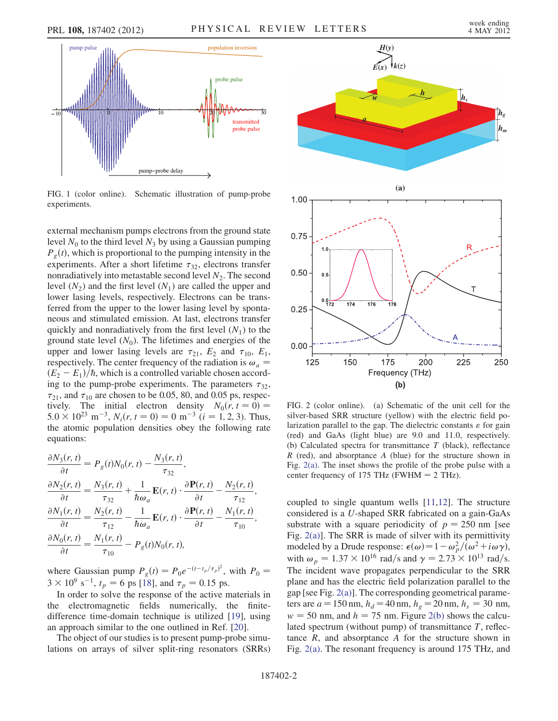<span id="page-1-0"></span>

FIG. 1 (color online). Schematic illustration of pump-probe experiments.

external mechanism pumps electrons from the ground state level  $N_0$  to the third level  $N_3$  by using a Gaussian pumping  $P_g(t)$ , which is proportional to the pumping intensity in the experiments. After a short lifetime  $\tau_{32}$ , electrons transfer nonradiatively into metastable second level  $N_2$ . The second level  $(N_2)$  and the first level  $(N_1)$  are called the upper and lower lasing levels, respectively. Electrons can be transferred from the upper to the lower lasing level by spontaneous and stimulated emission. At last, electrons transfer quickly and nonradiatively from the first level  $(N_1)$  to the ground state level  $(N_0)$ . The lifetimes and energies of the upper and lower lasing levels are  $\tau_{21}$ ,  $E_2$  and  $\tau_{10}$ ,  $E_1$ , respectively. The center frequency of the radiation is  $\omega_a$  =  $(E_2 - E_1)/\hbar$ , which is a controlled variable chosen according to the pump-probe experiments. The parameters  $\tau_{32}$ ,  $\tau_{21}$ , and  $\tau_{10}$  are chosen to be 0.05, 80, and 0.05 ps, respectively. The initial electron density  $N_0(r, t = 0) =$  $5.0 \times 10^{23}$  m<sup>-3</sup>,  $N_i(r, t = 0) = 0$  m<sup>-3</sup> ( $i = 1, 2, 3$ ). Thus, the atomic population densities obey the following rate equations:

$$
\frac{\partial N_3(r,t)}{\partial t} = P_g(t)N_0(r,t) - \frac{N_3(r,t)}{\tau_{32}},
$$
  
\n
$$
\frac{\partial N_2(r,t)}{\partial t} = \frac{N_3(r,t)}{\tau_{32}} + \frac{1}{\hbar \omega_a} \mathbf{E}(r,t) \cdot \frac{\partial \mathbf{P}(r,t)}{\partial t} - \frac{N_2(r,t)}{\tau_{12}},
$$
  
\n
$$
\frac{\partial N_1(r,t)}{\partial t} = \frac{N_2(r,t)}{\tau_{12}} - \frac{1}{\hbar \omega_a} \mathbf{E}(r,t) \cdot \frac{\partial \mathbf{P}(r,t)}{\partial t} - \frac{N_1(r,t)}{\tau_{10}},
$$
  
\n
$$
\frac{\partial N_0(r,t)}{\partial t} = \frac{N_1(r,t)}{\tau_{10}} - P_g(t)N_0(r,t),
$$

where Gaussian pump  $P_g(t) = P_0 e^{-(t-t_p/\tau_p)^2}$ , with  $P_0 =$  $3 \times 10^9$  s<sup>-1</sup>,  $t_p = 6$  ps [[18](#page-4-13)], and  $\tau_p = 0.15$  ps.

In order to solve the response of the active materials in the electromagnetic fields numerically, the finitedifference time-domain technique is utilized [\[19\]](#page-4-14), using an approach similar to the one outlined in Ref. [[20](#page-4-15)].

The object of our studies is to present pump-probe simulations on arrays of silver split-ring resonators (SRRs)



<span id="page-1-1"></span>FIG. 2 (color online). (a) Schematic of the unit cell for the silver-based SRR structure (yellow) with the electric field polarization parallel to the gap. The dielectric constants  $\varepsilon$  for gain (red) and GaAs (light blue) are 9.0 and 11.0, respectively. (b) Calculated spectra for transmittance  $T$  (black), reflectance  $R$  (red), and absorptance  $A$  (blue) for the structure shown in Fig. [2\(a\)](#page-1-1). The inset shows the profile of the probe pulse with a center frequency of 175 THz (FWHM  $= 2$  THz).

coupled to single quantum wells [[11](#page-4-6),[12](#page-4-3)]. The structure considered is a U-shaped SRR fabricated on a gain-GaAs substrate with a square periodicity of  $p = 250$  nm [see Fig. [2\(a\)](#page-1-1)]. The SRR is made of silver with its permittivity modeled by a Drude response:  $\epsilon(\omega) = 1 - \omega_p^2/(\omega^2 + i\omega\gamma)$ , with  $\omega_p = 1.37 \times 10^{16}$  rad/s and  $\gamma = 2.73 \times 10^{13}$  rad/s. The incident wave propagates perpendicular to the SRR plane and has the electric field polarization parallel to the gap [see Fig. [2\(a\)](#page-1-1)]. The corresponding geometrical parameters are  $a = 150$  nm,  $h_d = 40$  nm,  $h_g = 20$  nm,  $h_s = 30$  nm,  $w = 50$  nm, and  $h = 75$  nm. Figure [2\(b\)](#page-1-1) shows the calculated spectrum (without pump) of transmittance  $T$ , reflectance  $R$ , and absorptance  $A$  for the structure shown in Fig. [2\(a\)](#page-1-1). The resonant frequency is around 175 THz, and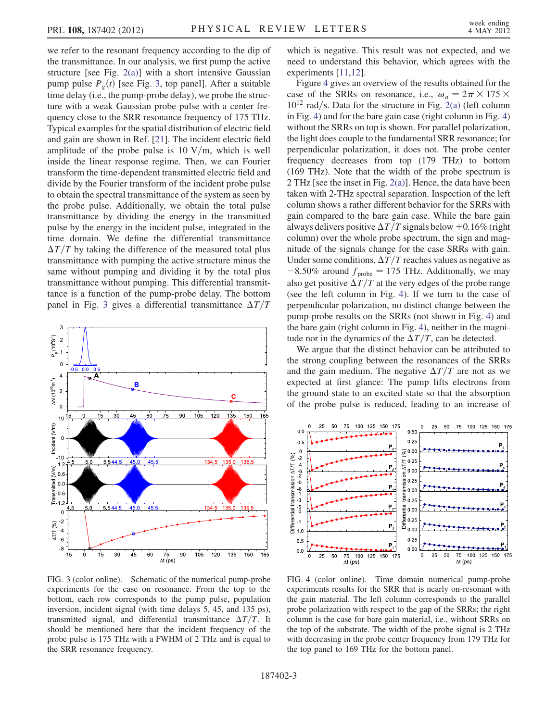we refer to the resonant frequency according to the dip of the transmittance. In our analysis, we first pump the active structure [see Fig.  $2(a)$ ] with a short intensive Gaussian pump pulse  $P_g(t)$  [see Fig. [3,](#page-2-0) top panel]. After a suitable time delay (i.e., the pump-probe delay), we probe the structure with a weak Gaussian probe pulse with a center frequency close to the SRR resonance frequency of 175 THz. Typical examples for the spatial distribution of electric field and gain are shown in Ref. [\[21\]](#page-4-16). The incident electric field amplitude of the probe pulse is 10  $V/m$ , which is well inside the linear response regime. Then, we can Fourier transform the time-dependent transmitted electric field and divide by the Fourier transform of the incident probe pulse to obtain the spectral transmittance of the system as seen by the probe pulse. Additionally, we obtain the total pulse transmittance by dividing the energy in the transmitted pulse by the energy in the incident pulse, integrated in the time domain. We define the differential transmittance  $\Delta T/T$  by taking the difference of the measured total plus transmittance with pumping the active structure minus the same without pumping and dividing it by the total plus transmittance without pumping. This differential transmittance is a function of the pump-probe delay. The bottom panel in Fig. [3](#page-2-0) gives a differential transmittance  $\Delta T/T$ 

<span id="page-2-0"></span>

FIG. 3 (color online). Schematic of the numerical pump-probe experiments for the case on resonance. From the top to the bottom, each row corresponds to the pump pulse, population inversion, incident signal (with time delays 5, 45, and 135 ps), transmitted signal, and differential transmittance  $\Delta T/T$ . It should be mentioned here that the incident frequency of the probe pulse is 175 THz with a FWHM of 2 THz and is equal to the SRR resonance frequency.

which is negative. This result was not expected, and we need to understand this behavior, which agrees with the experiments [\[11,](#page-4-6)[12\]](#page-4-3).

Figure [4](#page-2-1) gives an overview of the results obtained for the case of the SRRs on resonance, i.e.,  $\omega_a = 2\pi \times 175 \times$  $10^{12}$  rad/s. Data for the structure in Fig. [2\(a\)](#page-1-1) (left column in Fig. [4](#page-2-1)) and for the bare gain case (right column in Fig. [4\)](#page-2-1) without the SRRs on top is shown. For parallel polarization, the light does couple to the fundamental SRR resonance; for perpendicular polarization, it does not. The probe center frequency decreases from top (179 THz) to bottom (169 THz). Note that the width of the probe spectrum is 2 THz [see the inset in Fig. [2\(a\)\]](#page-1-1). Hence, the data have been taken with 2-THz spectral separation. Inspection of the left column shows a rather different behavior for the SRRs with gain compared to the bare gain case. While the bare gain always delivers positive  $\Delta T/T$  signals below  $+0.16\%$  (right column) over the whole probe spectrum, the sign and magnitude of the signals change for the case SRRs with gain. Under some conditions,  $\Delta T/T$  reaches values as negative as  $-8.50\%$  around  $f_{\text{probe}} = 175$  THz. Additionally, we may also get positive  $\Delta T/T$  at the very edges of the probe range (see the left column in Fig. [4](#page-2-1)). If we turn to the case of perpendicular polarization, no distinct change between the pump-probe results on the SRRs (not shown in Fig. [4\)](#page-2-1) and the bare gain (right column in Fig. [4\)](#page-2-1), neither in the magnitude nor in the dynamics of the  $\Delta T/T$ , can be detected.

We argue that the distinct behavior can be attributed to the strong coupling between the resonances of the SRRs and the gain medium. The negative  $\Delta T/T$  are not as we expected at first glance: The pump lifts electrons from the ground state to an excited state so that the absorption of the probe pulse is reduced, leading to an increase of

<span id="page-2-1"></span>

FIG. 4 (color online). Time domain numerical pump-probe experiments results for the SRR that is nearly on-resonant with the gain material. The left column corresponds to the parallel probe polarization with respect to the gap of the SRRs; the right column is the case for bare gain material, i.e., without SRRs on the top of the substrate. The width of the probe signal is 2 THz with decreasing in the probe center frequency from 179 THz for the top panel to 169 THz for the bottom panel.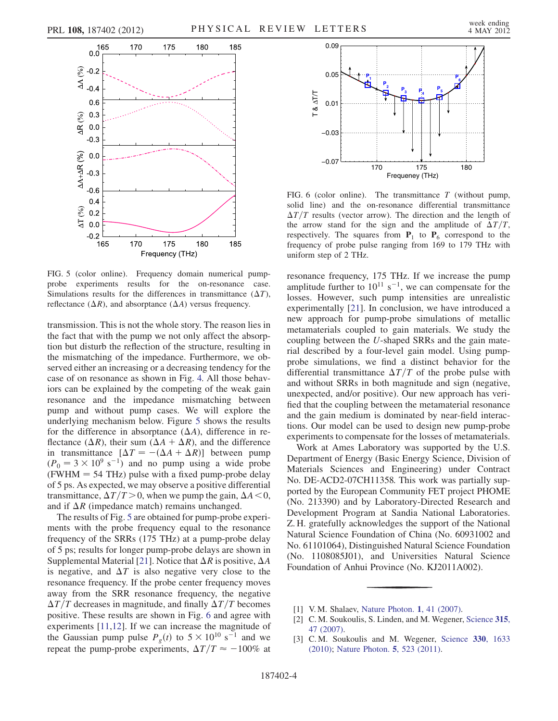<span id="page-3-2"></span>

FIG. 5 (color online). Frequency domain numerical pumpprobe experiments results for the on-resonance case. Simulations results for the differences in transmittance  $(\Delta T)$ , reflectance  $(\Delta R)$ , and absorptance  $(\Delta A)$  versus frequency.

transmission. This is not the whole story. The reason lies in the fact that with the pump we not only affect the absorption but disturb the reflection of the structure, resulting in the mismatching of the impedance. Furthermore, we observed either an increasing or a decreasing tendency for the case of on resonance as shown in Fig. [4.](#page-2-1) All those behaviors can be explained by the competing of the weak gain resonance and the impedance mismatching between pump and without pump cases. We will explore the underlying mechanism below. Figure [5](#page-3-2) shows the results for the difference in absorptance  $(\Delta A)$ , difference in reflectance ( $\Delta R$ ), their sum ( $\Delta A + \Delta R$ ), and the difference in transmittance  $[\Delta T = -(\Delta A + \Delta R)]$  between pump  $(P_0 = 3 \times 10^9 \text{ s}^{-1})$  and no pump using a wide probe  $(FWHM = 54 THz)$  pulse with a fixed pump-probe delay of 5 ps. As expected, we may observe a positive differential transmittance,  $\Delta T/T > 0$ , when we pump the gain,  $\Delta A < 0$ , and if  $\Delta R$  (impedance match) remains unchanged.

The results of Fig. [5](#page-3-2) are obtained for pump-probe experiments with the probe frequency equal to the resonance frequency of the SRRs (175 THz) at a pump-probe delay of 5 ps; results for longer pump-probe delays are shown in Supplemental Material [[21](#page-4-16)]. Notice that  $\Delta R$  is positive,  $\Delta A$ is negative, and  $\Delta T$  is also negative very close to the resonance frequency. If the probe center frequency moves away from the SRR resonance frequency, the negative  $\Delta T/T$  decreases in magnitude, and finally  $\Delta T/T$  becomes positive. These results are shown in Fig. [6](#page-3-3) and agree with experiments [[11](#page-4-6)[,12](#page-4-3)]. If we can increase the magnitude of the Gaussian pump pulse  $P_g(t)$  to  $5 \times 10^{10}$  s<sup>-1</sup> and we repeat the pump-probe experiments,  $\Delta T/T \approx -100\%$  at

<span id="page-3-3"></span>

FIG. 6 (color online). The transmittance  $T$  (without pump, solid line) and the on-resonance differential transmittance  $\Delta T/T$  results (vector arrow). The direction and the length of the arrow stand for the sign and the amplitude of  $\Delta T/T$ , respectively. The squares from  $P_1$  to  $P_6$  correspond to the frequency of probe pulse ranging from 169 to 179 THz with uniform step of 2 THz.

resonance frequency, 175 THz. If we increase the pump amplitude further to  $10^{11}$  s<sup>-1</sup>, we can compensate for the losses. However, such pump intensities are unrealistic experimentally [[21](#page-4-16)]. In conclusion, we have introduced a new approach for pump-probe simulations of metallic metamaterials coupled to gain materials. We study the coupling between the U-shaped SRRs and the gain material described by a four-level gain model. Using pumpprobe simulations, we find a distinct behavior for the differential transmittance  $\Delta T/T$  of the probe pulse with and without SRRs in both magnitude and sign (negative, unexpected, and/or positive). Our new approach has verified that the coupling between the metamaterial resonance and the gain medium is dominated by near-field interactions. Our model can be used to design new pump-probe experiments to compensate for the losses of metamaterials.

Work at Ames Laboratory was supported by the U.S. Department of Energy (Basic Energy Science, Division of Materials Sciences and Engineering) under Contract No. DE-ACD2-07CH11358. This work was partially supported by the European Community FET project PHOME (No. 213390) and by Laboratory-Directed Research and Development Program at Sandia National Laboratories. Z. H. gratefully acknowledges the support of the National Natural Science Foundation of China (No. 60931002 and No. 61101064), Distinguished Natural Science Foundation (No. 1108085J01), and Universities Natural Science Foundation of Anhui Province (No. KJ2011A002).

- <span id="page-3-0"></span>[1] V.M. Shalaev, [Nature Photon.](http://dx.doi.org/10.1038/nphoton.2006.49) 1, 41 (2007).
- [2] C. M. Soukoulis, S. Linden, and M. Wegener, [Science](http://dx.doi.org/10.1126/science.1136481) 315, [47 \(2007\).](http://dx.doi.org/10.1126/science.1136481)
- <span id="page-3-1"></span>[3] C.M. Soukoulis and M. Wegener, [Science](http://dx.doi.org/10.1126/science.1198858) 330, 1633 [\(2010\)](http://dx.doi.org/10.1126/science.1198858); [Nature Photon.](http://dx.doi.org/10.1038/nphoton.2011.154) 5, 523 (2011).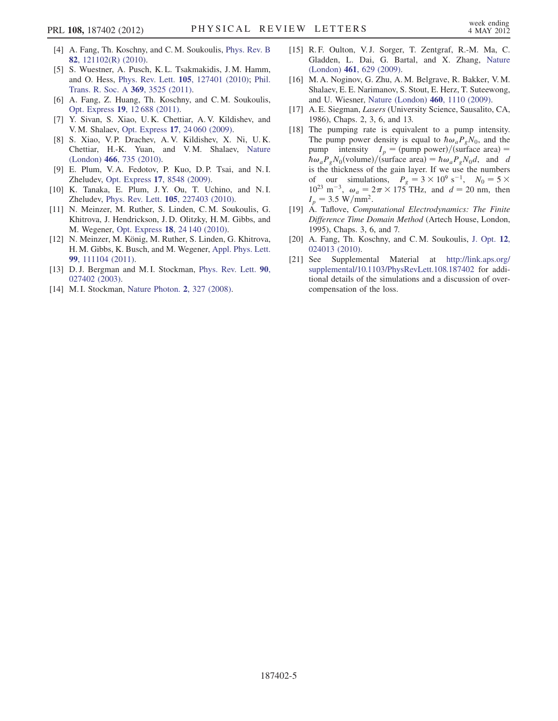- <span id="page-4-0"></span>[4] A. Fang, Th. Koschny, and C. M. Soukoulis, [Phys. Rev. B](http://dx.doi.org/10.1103/PhysRevB.82.121102) 82[, 121102\(R\) \(2010\).](http://dx.doi.org/10.1103/PhysRevB.82.121102)
- [5] S. Wuestner, A. Pusch, K. L. Tsakmakidis, J. M. Hamm, and O. Hess, Phys. Rev. Lett. 105[, 127401 \(2010\)](http://dx.doi.org/10.1103/PhysRevLett.105.127401); [Phil.](http://dx.doi.org/10.1098/rsta.2011.0140) [Trans. R. Soc. A](http://dx.doi.org/10.1098/rsta.2011.0140) 369, 3525 (2011).
- <span id="page-4-11"></span>[6] A. Fang, Z. Huang, Th. Koschny, and C. M. Soukoulis, Opt. Express 19[, 12 688 \(2011\).](http://dx.doi.org/10.1364/OE.19.012688)
- <span id="page-4-1"></span>[7] Y. Sivan, S. Xiao, U. K. Chettiar, A. V. Kildishev, and V. M. Shalaev, Opt. Express 17[, 24 060 \(2009\).](http://dx.doi.org/10.1364/OE.17.024060)
- <span id="page-4-2"></span>[8] S. Xiao, V.P. Drachev, A.V. Kildishev, X. Ni, U.K. Chettiar, H.-K. Yuan, and V. M. Shalaev, [Nature](http://dx.doi.org/10.1038/nature09278) (London) 466[, 735 \(2010\).](http://dx.doi.org/10.1038/nature09278)
- <span id="page-4-4"></span>[9] E. Plum, V. A. Fedotov, P. Kuo, D. P. Tsai, and N. I. Zheludev, Opt. Express 17[, 8548 \(2009\).](http://dx.doi.org/10.1364/OE.17.008548)
- <span id="page-4-5"></span>[10] K. Tanaka, E. Plum, J.Y. Ou, T. Uchino, and N.I. Zheludev, Phys. Rev. Lett. 105[, 227403 \(2010\).](http://dx.doi.org/10.1103/PhysRevLett.105.227403)
- <span id="page-4-6"></span>[11] N. Meinzer, M. Ruther, S. Linden, C. M. Soukoulis, G. Khitrova, J. Hendrickson, J. D. Olitzky, H. M. Gibbs, and M. Wegener, Opt. Express 18[, 24 140 \(2010\)](http://dx.doi.org/10.1364/OE.18.024140).
- <span id="page-4-3"></span>[12] N. Meinzer, M. König, M. Ruther, S. Linden, G. Khitrova, H. M. Gibbs, K. Busch, and M. Wegener, [Appl. Phys. Lett.](http://dx.doi.org/10.1063/1.3633353) 99[, 111104 \(2011\)](http://dx.doi.org/10.1063/1.3633353).
- <span id="page-4-7"></span>[13] D. J. Bergman and M. I. Stockman, [Phys. Rev. Lett.](http://dx.doi.org/10.1103/PhysRevLett.90.027402) 90, [027402 \(2003\)](http://dx.doi.org/10.1103/PhysRevLett.90.027402).
- <span id="page-4-8"></span>[14] M. I. Stockman, [Nature Photon.](http://dx.doi.org/10.1038/nphoton.2008.85) 2, 327 (2008).
- <span id="page-4-9"></span>[15] R. F. Oulton, V. J. Sorger, T. Zentgraf, R.-M. Ma, C. Gladden, L. Dai, G. Bartal, and X. Zhang, [Nature](http://dx.doi.org/10.1038/nature08364) (London) 461[, 629 \(2009\).](http://dx.doi.org/10.1038/nature08364)
- <span id="page-4-10"></span>[16] M. A. Noginov, G. Zhu, A. M. Belgrave, R. Bakker, V. M. Shalaev, E. E. Narimanov, S. Stout, E. Herz, T. Suteewong, and U. Wiesner, [Nature \(London\)](http://dx.doi.org/10.1038/nature08318) 460, 1110 (2009).
- <span id="page-4-12"></span>[17] A. E. Siegman, Lasers (University Science, Sausalito, CA, 1986), Chaps. 2, 3, 6, and 13.
- <span id="page-4-13"></span>[18] The pumping rate is equivalent to a pump intensity. The pump power density is equal to  $\hbar \omega_a P_g N_0$ , and the pump intensity  $I_p = (pump power)/(surface area) =$  $\hbar \omega_a P_g N_0$ (volume)/(surface area) =  $\hbar \omega_a P_g N_0 d$ , and d is the thickness of the gain layer. If we use the numbers of our simulations,  $P_g = 3 \times 10^9 \text{ s}^{-1}$ ,  $N_0 = 5 \times$  $10^{23}$  m<sup>-3</sup>,  $\omega_a = 2\pi \times 175$  THz, and  $d = 20$  nm, then  $I_p = 3.5 \text{ W/mm}^2$ .
- <span id="page-4-14"></span>[19] A. Taflove, Computational Electrodynamics: The Finite Difference Time Domain Method (Artech House, London, 1995), Chaps. 3, 6, and 7.
- <span id="page-4-15"></span>[20] A. Fang, Th. Koschny, and C.M. Soukoulis, [J. Opt.](http://dx.doi.org/10.1088/2040-8978/12/2/024013) 12, [024013 \(2010\).](http://dx.doi.org/10.1088/2040-8978/12/2/024013)
- <span id="page-4-16"></span>[21] See Supplemental Material at [http://link.aps.org/](http://link.aps.org/supplemental/10.1103/PhysRevLett.108.187402) [supplemental/10.1103/PhysRevLett.108.187402](http://link.aps.org/supplemental/10.1103/PhysRevLett.108.187402) for additional details of the simulations and a discussion of overcompensation of the loss.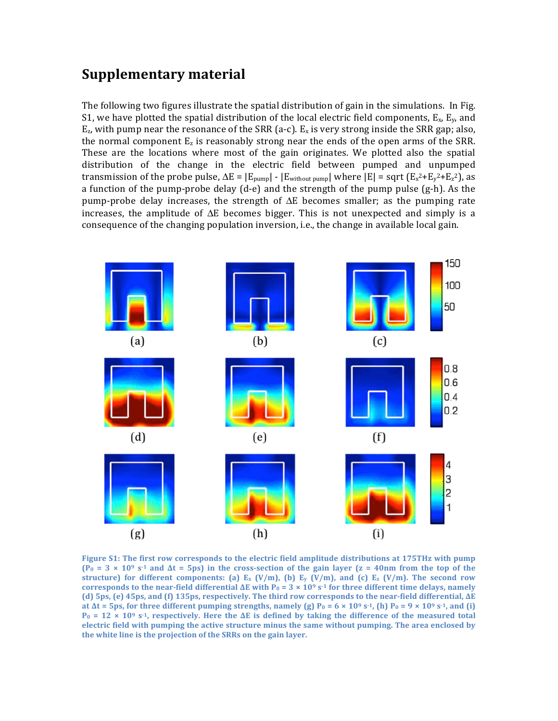## **Supplementary material**

The following two figures illustrate the spatial distribution of gain in the simulations. In Fig. S1, we have plotted the spatial distribution of the local electric field components,  $E_x$ ,  $E_y$ , and  $E_z$ , with pump near the resonance of the SRR (a-c).  $E_x$  is very strong inside the SRR gap; also, the normal component  $E_z$  is reasonably strong near the ends of the open arms of the SRR. These are the locations where most of the gain originates. We plotted also the spatial distribution of the change in the electric field between pumped and unpumped transmission of the probe pulse,  $\Delta E = |E_{\text{pump}}| - |E_{\text{without pump}}|$  where  $|E| =$  sqrt  $(E_x^2 + E_y^2 + E_z^2)$ , as a function of the pump‐probe delay (d‐e) and the strength of the pump pulse (g‐h). As the pump-probe delay increases, the strength of  $\Delta E$  becomes smaller; as the pumping rate increases, the amplitude of  $\Delta E$  becomes bigger. This is not unexpected and simply is a consequence of the changing population inversion, i.e., the change in available local gain.



**Figure S1: The first row corresponds to the electric field amplitude distributions at 175THz with pump**   $(P_0 = 3 \times 10^9 \text{ s}^{-1}$  and  $\Delta t = 5 \text{ ps}$ ) in the cross-section of the gain layer  $(z = 40 \text{ nm}$  from the top of the **structure)** for different components: (a)  $E_x$   $(V/m)$ , (b)  $E_y$   $(V/m)$ , and (c)  $E_z$   $(V/m)$ . The second row **corresponds to the near-field differential**  $\Delta E$  **with**  $P_0 = 3 \times 10^9$  **s<sup>-1</sup> for three different time delays, namely (d) 5ps, (e) 45ps, and (f) 135ps, respectively. The third row corresponds to the near‐field differential, ΔE at**  $\Delta t$  **= 5ps, for three different pumping strengths, namely (g)**  $P_0 = 6 \times 10^9$  **s<sup>-1</sup>, (h)**  $P_0 = 9 \times 10^9$  **s<sup>-1</sup>, and (i)**  $P_0 = 12 \times 10^9$  s<sup>-1</sup>, respectively. Here the  $\Delta E$  is defined by taking the difference of the measured total **electric field with pumping the active structure minus the same without pumping. The area enclosed by the white line is the projection of the SRRs on the gain layer.**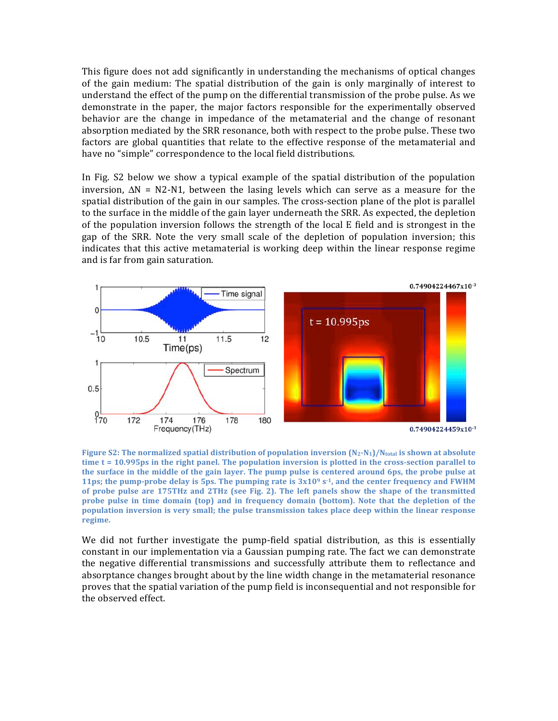This figure does not add significantly in understanding the mechanisms of optical changes of the gain medium: The spatial distribution of the gain is only marginally of interest to understand the effect of the pump on the differential transmission of the probe pulse. As we demonstrate in the paper, the major factors responsible for the experimentally observed behavior are the change in impedance of the metamaterial and the change of resonant absorption mediated by the SRR resonance, both with respect to the probe pulse. These two factors are global quantities that relate to the effective response of the metamaterial and have no "simple" correspondence to the local field distributions.

In Fig. S2 below we show a typical example of the spatial distribution of the population inversion,  $\Delta N = N2-N1$ , between the lasing levels which can serve as a measure for the spatial distribution of the gain in our samples. The cross-section plane of the plot is parallel to the surface in the middle of the gain layer underneath the SRR. As expected, the depletion of the population inversion follows the strength of the local E field and is strongest in the gap of the SRR. Note the very small scale of the depletion of population inversion; this indicates that this active metamaterial is working deep within the linear response regime and is far from gain saturation.



**Figure S2: The normalized spatial distribution of population inversion (N2‐N1)/Ntotal is shown at absolute time t = 10.995ps in the right panel. The population inversion is plotted in the cross‐section parallel to the surface in the middle of the gain layer. The pump pulse is centered around 6ps, the probe pulse at 11ps; the pump‐probe delay is 5ps. The pumping rate is 3x10<sup>9</sup> s‐1, and the center frequency and FWHM of probe pulse are 175THz and 2THz (see Fig. 2). The left panels show the shape of the transmitted probe pulse in time domain (top) and in frequency domain (bottom). Note that the depletion of the population inversion is very small; the pulse transmission takes place deep within the linear response regime.**

We did not further investigate the pump-field spatial distribution, as this is essentially constant in our implementation via a Gaussian pumping rate. The fact we can demonstrate the negative differential transmissions and successfully attribute them to reflectance and absorptance changes brought about by the line width change in the metamaterial resonance proves that the spatial variation of the pump field is inconsequential and not responsible for the observed effect.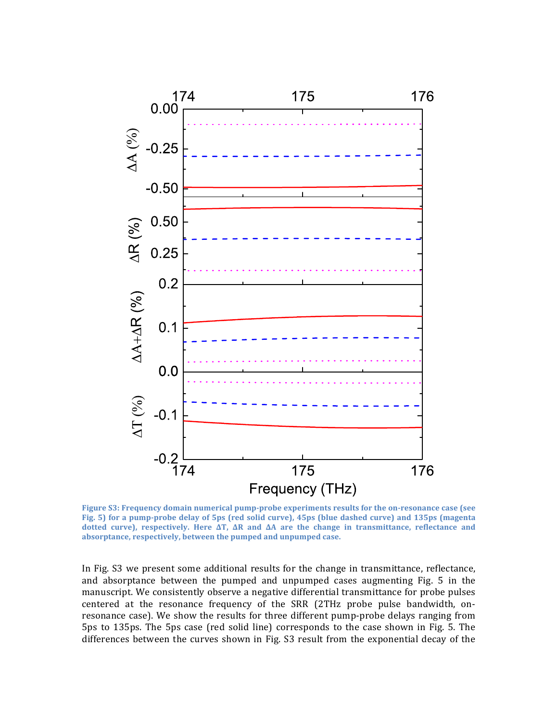

**Figure S3: Frequency domain numerical pump‐probe experiments results for the on‐resonance case (see Fig. 5) for a pump‐probe delay of 5ps (red solid curve), 45ps (blue dashed curve) and 135ps (magenta dotted curve), respectively. Here ∆T, ∆R and ∆A are the change in transmittance, reflectance and absorptance, respectively, between the pumped and unpumped case.**

In Fig. S3 we present some additional results for the change in transmittance, reflectance, and absorptance between the pumped and unpumped cases augmenting Fig. 5 in the manuscript. We consistently observe a negative differential transmittance for probe pulses centered at the resonance frequency of the SRR (2THz probe pulse bandwidth, on‐ resonance case). We show the results for three different pump-probe delays ranging from 5ps to 135ps. The 5ps case (red solid line) corresponds to the case shown in Fig. 5. The differences between the curves shown in Fig. S3 result from the exponential decay of the